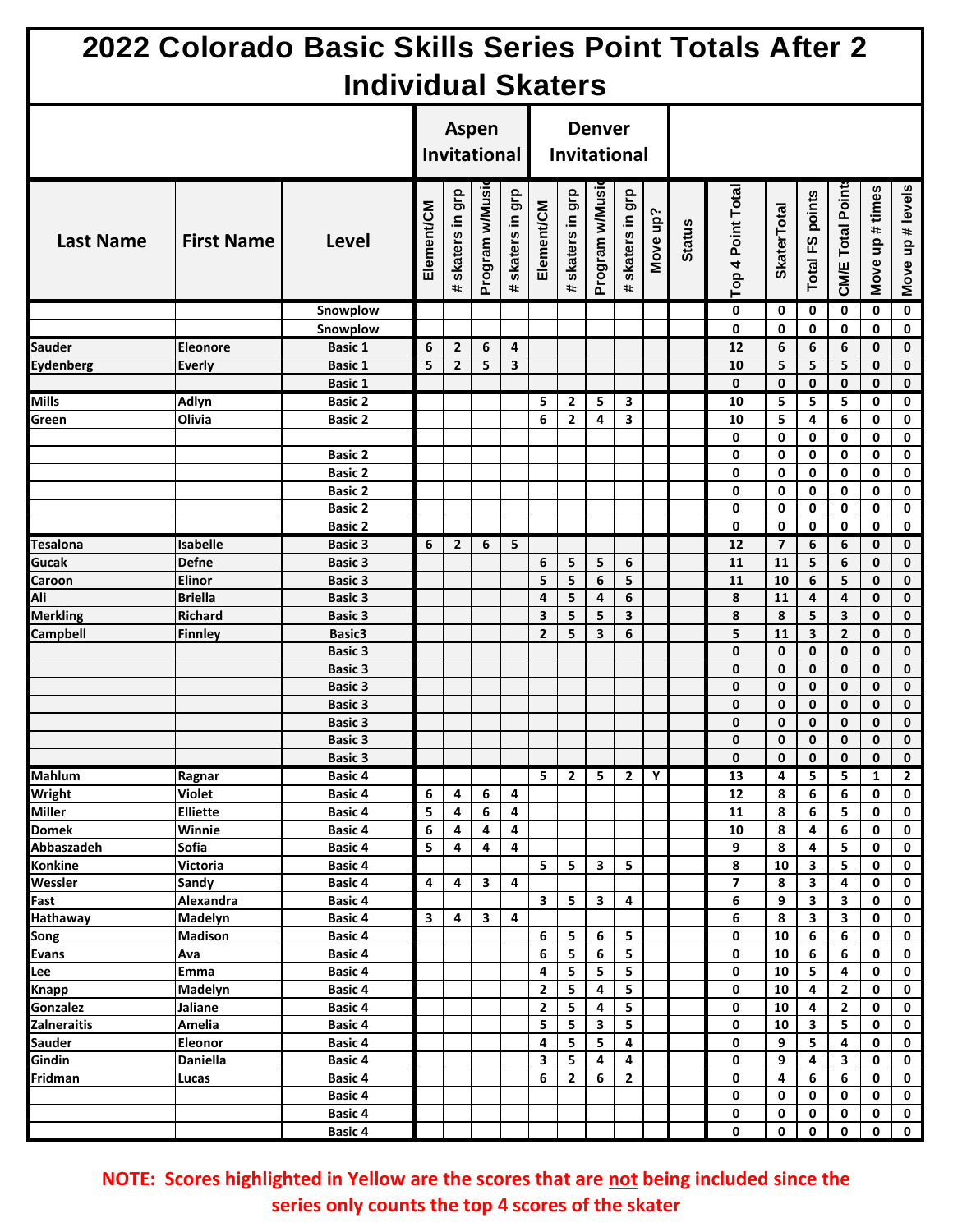|                            |                   |                           |                | <b>Aspen</b>            |                                                    |                              |                |                                       | <b>Denver</b>  |                         |          |               |                   |                    |                 |                   |                 |                  |
|----------------------------|-------------------|---------------------------|----------------|-------------------------|----------------------------------------------------|------------------------------|----------------|---------------------------------------|----------------|-------------------------|----------|---------------|-------------------|--------------------|-----------------|-------------------|-----------------|------------------|
|                            |                   | Invitational              |                |                         |                                                    |                              | Invitational   |                                       |                |                         |          |               |                   |                    |                 |                   |                 |                  |
| <b>Last Name</b>           | <b>First Name</b> | <b>Level</b>              | Element/CM     | skaters in grp<br>#.    | Program w/Musi                                     | skaters in grp<br>#          | Element/CM     | skaters in grp<br>$\ddot{\mathbf{r}}$ | Program w/Musi | skaters in grp<br>#     | Move up? | <b>Status</b> | Top 4 Point Total | <b>SkaterTotal</b> | Total FS points | CM/E Total Points | Move up # times | Move up # levels |
|                            |                   | Snowplow                  |                |                         |                                                    |                              |                |                                       |                |                         |          |               | 0                 | 0                  | 0               | 0                 | 0               | 0                |
|                            |                   | Snowplow                  |                |                         |                                                    |                              |                |                                       |                |                         |          |               | 0                 | 0                  | 0               | $\mathbf 0$       | $\mathbf 0$     | $\mathbf 0$      |
| <b>Sauder</b>              | Eleonore          | <b>Basic 1</b>            | 6              | 2                       | 6                                                  | 4                            |                |                                       |                |                         |          |               | 12                | 6                  | 6               | 6                 | 0               | 0                |
| <b>Eydenberg</b>           | Everly            | <b>Basic 1</b>            | 5              | $\overline{2}$          | 5                                                  | 3                            |                |                                       |                |                         |          |               | 10                | 5                  | 5               | 5                 | $\mathbf 0$     | 0                |
|                            |                   | <b>Basic 1</b>            |                |                         |                                                    |                              |                |                                       |                |                         |          |               | 0                 | $\mathbf{0}$       | $\mathbf 0$     | $\pmb{0}$         | $\mathbf{0}$    | 0                |
| <b>Mills</b>               | <b>Adlyn</b>      | <b>Basic 2</b>            |                |                         |                                                    |                              | 5              | $\mathbf{2}$                          | 5              | 3                       |          |               | 10                | 5                  | 5               | 5                 | 0               | 0                |
| Green                      | Olivia            | <b>Basic 2</b>            |                |                         |                                                    |                              | 6              | $\overline{2}$                        | 4              | 3                       |          |               | 10                | 5                  | 4               | 6                 | 0               | 0                |
|                            |                   |                           |                |                         |                                                    |                              |                |                                       |                |                         |          |               | 0                 | 0                  | 0               | 0                 | 0               | 0                |
|                            |                   | <b>Basic 2</b>            |                |                         |                                                    |                              |                |                                       |                |                         |          |               | 0                 | 0                  | $\mathbf 0$     | 0                 | 0               | 0                |
|                            |                   | <b>Basic 2</b>            |                |                         |                                                    |                              |                |                                       |                |                         |          |               | 0                 | 0                  | 0               | 0                 | 0               | 0                |
|                            |                   | <b>Basic 2</b>            |                |                         |                                                    |                              |                |                                       |                |                         |          |               | 0                 | 0                  | 0               | 0                 | 0               | 0                |
|                            |                   | <b>Basic 2</b>            |                |                         |                                                    |                              |                |                                       |                |                         |          |               | 0                 | 0                  | 0               | 0                 | 0               | 0                |
|                            |                   | <b>Basic 2</b>            |                |                         |                                                    |                              |                |                                       |                |                         |          |               | 0                 | 0                  | 0               | 0                 | 0               | 0                |
| Tesalona                   | Isabelle          | <b>Basic 3</b>            | 6              | $\overline{2}$          | 6                                                  | 5                            |                |                                       |                |                         |          |               | 12                | $\overline{7}$     | 6               | 6                 | 0               | $\mathbf 0$      |
| <b>Gucak</b>               | <b>Defne</b>      | <b>Basic 3</b>            |                |                         |                                                    |                              | 6              | 5                                     | 5              | 6                       |          |               | 11                | 11                 | 5               | 6                 | 0               | 0                |
| Caroon                     | Elinor            | <b>Basic 3</b>            |                |                         |                                                    |                              | 5              | 5                                     | 6              | 5                       |          |               | 11                | 10                 | 6               | 5                 | $\mathbf 0$     | $\pmb{0}$        |
| Ali                        | <b>Briella</b>    | <b>Basic 3</b>            |                |                         |                                                    |                              | 4              | 5                                     | 4              | 6                       |          |               | 8                 | 11                 | 4               | 4                 | $\mathbf 0$     | 0                |
| <b>Merkling</b>            | <b>Richard</b>    | <b>Basic 3</b>            |                |                         |                                                    |                              | 3              | 5                                     | 5              | 3                       |          |               | 8                 | 8                  | 5               | 3                 | $\mathbf 0$     | 0                |
| Campbell                   | <b>Finnley</b>    | Basic3                    |                |                         |                                                    |                              | $\overline{2}$ | 5                                     | 3              | 6                       |          |               | 5                 | 11                 | 3               | $\overline{2}$    | $\mathbf 0$     | 0                |
|                            |                   | <b>Basic 3</b>            |                |                         |                                                    |                              |                |                                       |                |                         |          |               | 0                 | 0                  | $\mathbf 0$     | $\mathbf 0$       | $\mathbf 0$     | 0                |
|                            |                   | <b>Basic 3</b>            |                |                         |                                                    |                              |                |                                       |                |                         |          |               | 0                 | 0                  | $\mathbf 0$     | $\mathbf 0$       | $\mathbf 0$     | $\mathbf 0$      |
|                            |                   | <b>Basic 3</b>            |                |                         |                                                    |                              |                |                                       |                |                         |          |               | 0                 | 0                  | $\mathbf 0$     | 0                 | 0               | 0                |
|                            |                   | <b>Basic 3</b>            |                |                         |                                                    |                              |                |                                       |                |                         |          |               | 0                 | 0                  | $\mathbf{0}$    | $\mathbf 0$       | 0               | 0                |
|                            |                   | <b>Basic 3</b>            |                |                         |                                                    |                              |                |                                       |                |                         |          |               | 0                 | 0                  | $\mathbf 0$     | $\mathbf 0$       | $\mathbf 0$     | 0                |
|                            |                   | <b>Basic 3</b>            |                |                         |                                                    |                              |                |                                       |                |                         |          |               | 0                 | 0                  | $\mathbf 0$     | $\mathbf 0$       | $\mathbf 0$     | 0                |
|                            |                   | <b>Basic 3</b>            |                |                         |                                                    |                              |                |                                       |                |                         |          |               | 0                 | 0                  | $\mathbf 0$     | $\mathbf 0$       | $\mathbf{0}$    | $\pmb{0}$        |
| <b>Mahlum</b>              |                   |                           |                |                         |                                                    |                              |                |                                       |                |                         |          |               |                   |                    |                 |                   |                 |                  |
|                            | Ragnar            | Basic 4                   | $\overline{6}$ |                         | $6\phantom{a}$                                     |                              | 5              | $\mathbf{2}$                          | 5              | $\mathbf{2}$            | Υ        |               | 13                | 4                  | 5               | 5                 | 1               | $\mathbf{2}$     |
| Wright<br><b>Miller</b>    | <b>Violet</b>     | <b>Basic 4</b>            |                | $\overline{\mathbf{4}}$ |                                                    | $\overline{\mathbf{4}}$      |                |                                       |                |                         |          |               | ${\bf 12}$        | 8                  | 6               | 6                 | 0               | 0                |
|                            | Elliette          | <b>Basic 4</b>            | 5              | 4                       | 6                                                  | 4                            |                |                                       |                |                         |          |               | 11                | 8                  | 6               | 5                 | 0               | 0                |
| <b>Domek</b><br>Abbaszadeh | Winnie<br>Sofia   | Basic 4<br><b>Basic 4</b> | 6<br>5         | 4<br>4                  | $\overline{\mathbf{4}}$<br>$\overline{\mathbf{4}}$ | 4<br>$\overline{\mathbf{4}}$ |                |                                       |                |                         |          |               | 10<br>9           | 8<br>8             | 4<br>4          | 6<br>5            | 0<br>0          | 0<br>0           |
| Konkine                    | Victoria          |                           |                |                         |                                                    |                              | 5              | 5                                     | 3              | 5                       |          |               | 8                 | 10                 | 3               | 5                 | 0               | 0                |
| Wessler                    | Sandy             | Basic 4<br><b>Basic 4</b> | 4              | 4                       | 3                                                  | 4                            |                |                                       |                |                         |          |               | 7                 | 8                  | 3               | 4                 | 0               | 0                |
| Fast                       | Alexandra         | <b>Basic 4</b>            |                |                         |                                                    |                              | 3              | 5                                     | 3              | 4                       |          |               | 6                 | 9                  | 3               | 3                 | 0               | 0                |
| Hathaway                   | Madelyn           | <b>Basic 4</b>            | 3              | 4                       | 3                                                  | 4                            |                |                                       |                |                         |          |               | 6                 | 8                  | 3               | $\mathbf{3}$      | 0               | 0                |
| Song                       | <b>Madison</b>    | <b>Basic 4</b>            |                |                         |                                                    |                              | 6              | 5                                     | 6              | 5                       |          |               | 0                 | 10                 | 6               | 6                 | 0               | 0                |
| <b>Evans</b>               | Ava               | <b>Basic 4</b>            |                |                         |                                                    |                              | 6              | 5                                     | 6              | $\overline{\mathbf{5}}$ |          |               | 0                 | 10                 | 6               | 6                 | 0               | 0                |
| Lee                        | Emma              | <b>Basic 4</b>            |                |                         |                                                    |                              | 4              | 5                                     | 5              | 5                       |          |               | 0                 | 10                 | 5               | 4                 | 0               | 0                |
|                            | Madelyn           | <b>Basic 4</b>            |                |                         |                                                    |                              | $\mathbf 2$    | 5                                     | 4              | 5                       |          |               | 0                 | 10                 | 4               | $\mathbf{2}$      | 0               | 0                |
| <b>Knapp</b><br>Gonzalez   | Jaliane           | <b>Basic 4</b>            |                |                         |                                                    |                              | $\mathbf{2}$   | 5                                     | 4              | 5                       |          |               | 0                 | 10                 | 4               | $\overline{2}$    | 0               | 0                |
| <b>Zalneraitis</b>         | Amelia            | <b>Basic 4</b>            |                |                         |                                                    |                              | 5              | 5                                     | 3              | 5                       |          |               | 0                 | 10                 | 3               | 5                 | 0               | 0                |
| Sauder                     | Eleonor           | <b>Basic 4</b>            |                |                         |                                                    |                              | 4              | 5                                     | 5              | 4                       |          |               | 0                 | 9                  | 5               | 4                 | 0               | 0                |
| Gindin                     | Daniella          | <b>Basic 4</b>            |                |                         |                                                    |                              | 3              | 5                                     | 4              | 4                       |          |               | 0                 | 9                  | 4               | 3                 | 0               | 0                |
| Fridman                    | Lucas             | <b>Basic 4</b>            |                |                         |                                                    |                              | 6              | $\mathbf{2}$                          | 6              | $\mathbf{2}$            |          |               | 0                 | 4                  | 6               | 6                 | 0               | 0                |
|                            |                   |                           |                |                         |                                                    |                              |                |                                       |                |                         |          |               | 0                 | 0                  | 0               | 0                 | 0               |                  |
|                            |                   | Basic 4<br><b>Basic 4</b> |                |                         |                                                    |                              |                |                                       |                |                         |          |               | 0                 | 0                  | 0               | 0                 | 0               | 0<br>0           |
|                            |                   |                           |                |                         |                                                    |                              |                |                                       |                |                         |          |               | 0                 | 0                  |                 | $\pmb{0}$         | $\mathbf 0$     | $\mathbf 0$      |
|                            |                   | Basic 4                   |                |                         |                                                    |                              |                |                                       |                |                         |          |               |                   |                    | 0               |                   |                 |                  |

**NOTE: Scores highlighted in Yellow are the scores that are not being included since the series only counts the top 4 scores of the skater**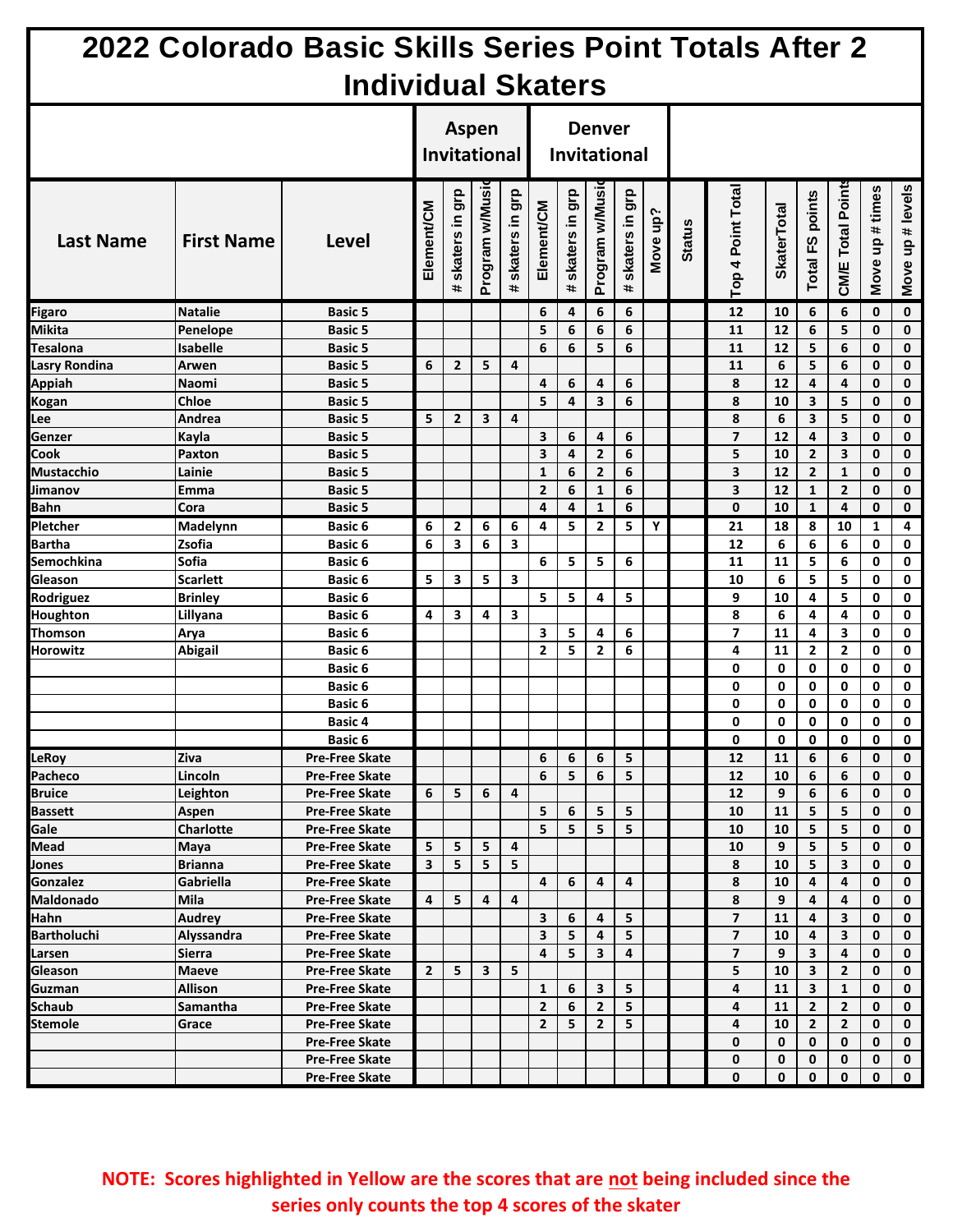|                            |                   |                       |                |                         | <b>Aspen</b><br><b>Invitational</b> |                             |              |                     | <b>Denver</b><br>Invitational |                     |          |               |                         |                    |                |                         |                    |                  |
|----------------------------|-------------------|-----------------------|----------------|-------------------------|-------------------------------------|-----------------------------|--------------|---------------------|-------------------------------|---------------------|----------|---------------|-------------------------|--------------------|----------------|-------------------------|--------------------|------------------|
| <b>Last Name</b>           | <b>First Name</b> | Level                 | Element/CM     | grp<br>skaters in<br>#  | Program w/Musi                      | skaters in grp<br>$\ddot{}$ | Element/CM   | skaters in grp<br># | Program w/Musi                | skaters in grp<br># | Move up? | <b>Status</b> | Top 4 Point Total       | <b>SkaterTotal</b> | otal FS points | CM/E Total Point        | up # times<br>Move | Move up # levels |
| <b>Figaro</b>              | <b>Natalie</b>    | <b>Basic 5</b>        |                |                         |                                     |                             | 6            | 4                   | 6                             | 6                   |          |               | 12                      | 10                 | 6              | 6                       | 0                  | $\mathbf 0$      |
| Mikita                     | Penelope          | <b>Basic 5</b>        |                |                         |                                     |                             | 5            | 6                   | 6                             | 6                   |          |               | 11                      | 12                 | 6              | 5                       | $\mathbf 0$        | 0                |
| <b>Tesalona</b>            | Isabelle          | <b>Basic 5</b>        |                |                         |                                     |                             | 6            | 6                   | 5                             | 6                   |          |               | 11                      | 12                 | 5              | 6                       | $\mathbf{0}$       | 0                |
| <b>Lasry Rondina</b>       | Arwen             | <b>Basic 5</b>        | 6              | $\overline{2}$          | 5                                   | 4                           |              |                     |                               |                     |          |               | 11                      | 6                  | 5              | 6                       | $\mathbf 0$        | 0                |
| <b>Appiah</b>              | <b>Naomi</b>      | <b>Basic 5</b>        |                |                         |                                     |                             | 4            | 6                   | 4                             | 6                   |          |               | 8                       | 12                 | 4              | 4                       | 0                  | 0                |
| Kogan                      | <b>Chloe</b>      | <b>Basic 5</b>        |                |                         |                                     |                             | 5            | 4                   | 3                             | 6                   |          |               | 8                       | 10                 | 3              | 5                       | 0                  | 0                |
| Lee                        | Andrea            | <b>Basic 5</b>        | 5              | $\overline{2}$          | 3                                   | 4                           |              |                     |                               |                     |          |               | 8                       | 6                  | 3              | 5                       | $\mathbf 0$        | 0                |
| Genzer                     | Kayla             | <b>Basic 5</b>        |                |                         |                                     |                             | 3            | 6                   | 4                             | 6                   |          |               | $\overline{7}$          | 12                 | 4              | 3                       | $\mathbf 0$        | 0                |
| Cook                       | Paxton            | <b>Basic 5</b>        |                |                         |                                     |                             | 3            | 4                   | 2                             | 6                   |          |               | 5                       | 10                 | 2              | 3                       | 0                  | 0                |
| <b>Mustacchio</b>          | Lainie            | <b>Basic 5</b>        |                |                         |                                     |                             | $\mathbf{1}$ | 6                   | $\overline{2}$                | 6                   |          |               | 3                       | 12                 | $\overline{2}$ | $\mathbf{1}$            | $\mathbf 0$        | 0                |
| Jimanov                    | Emma              | <b>Basic 5</b>        |                |                         |                                     |                             | $\mathbf{2}$ | 6                   | 1                             | 6                   |          |               | 3                       | 12                 | 1              | $\mathbf{2}$            | $\mathbf 0$        | $\mathbf 0$      |
| <b>Bahn</b>                | Cora              | <b>Basic 5</b>        |                |                         |                                     |                             | 4            | 4                   | $\mathbf{1}$                  | 6                   |          |               | 0                       | 10                 | $\mathbf{1}$   | $\overline{\mathbf{4}}$ | $\mathbf 0$        | 0                |
| Pletcher                   | Madelynn          | Basic 6               | 6              | 2                       | 6                                   | 6                           | 4            | 5                   | $\mathbf{2}$                  | 5                   | Υ        |               | 21                      | 18                 | 8              | 10                      | 1                  | 4                |
| <b>Bartha</b>              | Zsofia            | Basic 6               | 6              | $\overline{\mathbf{3}}$ | 6                                   | 3                           |              |                     |                               |                     |          |               | 12                      | 6                  | 6              | 6                       | $\mathbf 0$        | 0                |
| Semochkina                 | Sofia             | Basic 6               |                |                         |                                     |                             | 6            | 5                   | 5                             | 6                   |          |               | 11                      | 11                 | 5              | 6                       | 0                  | 0                |
| Gleason                    | <b>Scarlett</b>   | <b>Basic 6</b>        | 5              | 3                       | 5                                   | $\overline{\mathbf{3}}$     |              |                     |                               |                     |          |               | 10                      | 6                  | 5              | 5                       | 0                  | 0                |
|                            |                   | Basic 6               |                |                         |                                     |                             | 5            | 5                   | 4                             | 5                   |          |               | 9                       | 10                 | 4              | 5                       | 0                  | 0                |
| Rodriguez                  | <b>Brinley</b>    |                       |                |                         |                                     |                             |              |                     |                               |                     |          |               |                         |                    |                |                         |                    |                  |
| <b>Houghton</b><br>Thomson | Lillyana          | <b>Basic 6</b>        | 4              | 3                       | 4                                   | 3                           |              | 5                   |                               |                     |          |               | 8<br>7                  | 6<br>11            | 4              | 4<br>3                  | 0<br>0             | 0                |
|                            | Arya              | Basic 6<br>Basic 6    |                |                         |                                     |                             | 3<br>2       | 5                   | 4<br>$\mathbf{2}$             | 6<br>6              |          |               | 4                       | 11                 | 4<br>2         | 2                       | 0                  | 0                |
| Horowitz                   | <b>Abigail</b>    | <b>Basic 6</b>        |                |                         |                                     |                             |              |                     |                               |                     |          |               | 0                       | 0                  |                | $\mathbf 0$             |                    | 0                |
|                            |                   |                       |                |                         |                                     |                             |              |                     |                               |                     |          |               |                         |                    | 0              | $\mathbf 0$             | 0                  | 0                |
|                            |                   | <b>Basic 6</b>        |                |                         |                                     |                             |              |                     |                               |                     |          |               | 0                       | 0                  | 0              |                         | 0                  | 0                |
|                            |                   | Basic 6               |                |                         |                                     |                             |              |                     |                               |                     |          |               | 0                       | 0                  | 0              | $\mathbf 0$             | 0                  | 0                |
|                            |                   | <b>Basic 4</b>        |                |                         |                                     |                             |              |                     |                               |                     |          |               | 0                       | $\mathbf 0$        | 0              | $\mathbf 0$             | $\mathbf 0$        | $\mathbf 0$      |
|                            |                   | Basic 6               |                |                         |                                     |                             |              |                     |                               |                     |          |               | 0                       | 0                  | 0              | $\mathbf 0$             | 0                  | 0                |
| LeRoy                      | <b>Ziva</b>       | <b>Pre-Free Skate</b> |                |                         |                                     |                             | 6            | 6                   | 6                             | 5                   |          |               | 12                      | 11                 | 6              | 6                       | 0                  | 0                |
| Pacheco                    | Lincoln           | <b>Pre-Free Skate</b> |                |                         |                                     |                             | 6            | 5                   | 6                             | 5                   |          |               | 12                      | 10                 | 6              | 6                       | $\mathbf 0$        | 0                |
| <b>Bruice</b>              | Leighton          | <b>Pre-Free Skate</b> | 6              | 5                       | $\boldsymbol{6}$                    | $\pmb{4}$                   |              |                     |                               |                     |          |               | ${\bf 12}$              | $\boldsymbol{9}$   | 6              | 6                       | $\pmb{0}$          | $\mathbf 0$      |
| <b>Bassett</b>             | Aspen             | <b>Pre-Free Skate</b> |                |                         |                                     |                             | 5            | 6                   | 5                             | 5                   |          |               | 10                      | 11                 | 5              | 5                       | $\mathbf 0$        | $\mathbf{0}$     |
| Gale                       | <b>Charlotte</b>  | <b>Pre-Free Skate</b> |                |                         |                                     |                             | 5            | 5                   | 5                             | 5                   |          |               | 10                      | 10                 | 5              | 5                       | 0                  | 0                |
| Mead                       | Maya              | <b>Pre-Free Skate</b> | 5              | 5                       | 5                                   | 4                           |              |                     |                               |                     |          |               | 10                      | 9                  | 5              | 5                       | 0                  | 0                |
| Jones                      | <b>Brianna</b>    | <b>Pre-Free Skate</b> | 3              | 5                       | 5                                   | 5                           |              |                     |                               |                     |          |               | 8                       | 10                 | 5              | 3                       | 0                  | 0                |
| <b>Gonzalez</b>            | Gabriella         | <b>Pre-Free Skate</b> |                |                         |                                     |                             | 4            | 6                   | 4                             | 4                   |          |               | 8                       | 10                 | 4              | 4                       | 0                  | 0                |
| Maldonado                  | Mila              | <b>Pre-Free Skate</b> | 4              | 5                       | 4                                   | 4                           |              |                     |                               |                     |          |               | 8                       | 9                  | 4              | 4                       | 0                  | 0                |
| Hahn                       | Audrey            | <b>Pre-Free Skate</b> |                |                         |                                     |                             | 3            | 6                   | 4                             | 5                   |          |               | $\overline{7}$          | 11                 | 4              | 3                       | 0                  | 0                |
| <b>Bartholuchi</b>         | Alyssandra        | <b>Pre-Free Skate</b> |                |                         |                                     |                             | 3            | 5                   | 4                             | 5                   |          |               | $\overline{\mathbf{z}}$ | 10                 | 4              | 3                       | 0                  | 0                |
| Larsen                     | <b>Sierra</b>     | <b>Pre-Free Skate</b> |                |                         |                                     |                             | 4            | 5                   | 3                             | $\overline{4}$      |          |               | $\overline{7}$          | 9                  | 3              | 4                       | 0                  | 0                |
| Gleason                    | <b>Maeve</b>      | <b>Pre-Free Skate</b> | $\overline{2}$ | 5                       | $\mathbf{3}$                        | 5                           |              |                     |                               |                     |          |               | 5                       | 10                 | 3              | $\mathbf{2}$            | $\mathbf 0$        | 0                |
| Guzman                     | Allison           | <b>Pre-Free Skate</b> |                |                         |                                     |                             | $\mathbf{1}$ | 6                   | 3                             | 5                   |          |               | 4                       | 11                 | 3              | $\mathbf{1}$            | 0                  | 0                |
| Schaub                     | Samantha          | <b>Pre-Free Skate</b> |                |                         |                                     |                             | $\mathbf{2}$ | 6                   | $\mathbf{2}$                  | 5                   |          |               | 4                       | 11                 | $\overline{2}$ | $\mathbf{2}$            | 0                  | 0                |
| <b>Stemole</b>             | Grace             | <b>Pre-Free Skate</b> |                |                         |                                     |                             | $\mathbf{2}$ | 5                   | $\mathbf{2}$                  | 5                   |          |               | 4                       | 10                 | $\mathbf{2}$   | $\mathbf{2}$            | 0                  | 0                |
|                            |                   | <b>Pre-Free Skate</b> |                |                         |                                     |                             |              |                     |                               |                     |          |               | 0                       | 0                  | 0              | 0                       | 0                  | 0                |
|                            |                   | <b>Pre-Free Skate</b> |                |                         |                                     |                             |              |                     |                               |                     |          |               | 0                       | 0                  | 0              | 0                       | 0                  | 0                |
|                            |                   | <b>Pre-Free Skate</b> |                |                         |                                     |                             |              |                     |                               |                     |          |               | 0                       | 0                  | 0              | 0                       | 0                  | $\mathbf 0$      |

**NOTE: Scores highlighted in Yellow are the scores that are not being included since the series only counts the top 4 scores of the skater**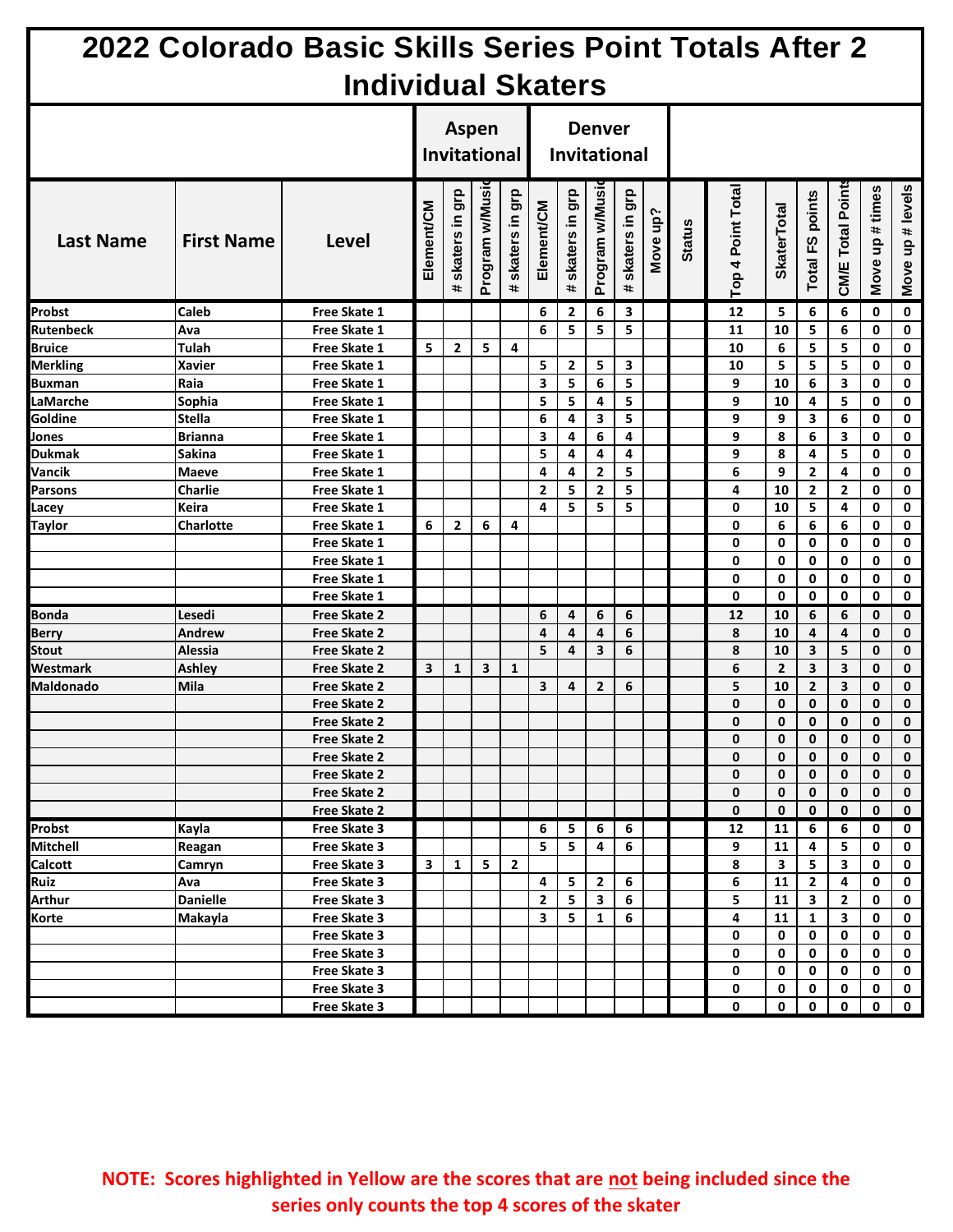|                  |                   |                     |            |                                | <b>Aspen</b>   |                     |                         |                     | <b>Denver</b>  |                     |          |               |                   |                    |                         |                         |                    |                  |
|------------------|-------------------|---------------------|------------|--------------------------------|----------------|---------------------|-------------------------|---------------------|----------------|---------------------|----------|---------------|-------------------|--------------------|-------------------------|-------------------------|--------------------|------------------|
|                  |                   | Invitational        |            |                                |                |                     |                         | Invitational        |                |                     |          |               |                   |                    |                         |                         |                    |                  |
| <b>Last Name</b> | <b>First Name</b> | Level               | Element/CM | grp<br>skaters in<br>$\ddot{}$ | Program w/Musi | skaters in grp<br># | Element/CM              | skaters in grp<br># | Program w/Musi | skaters in grp<br># | Move up? | <b>Status</b> | Top 4 Point Total | <b>SkaterTotal</b> | Total FS points         | <b>CM/E Total Point</b> | up # times<br>Move | Move up # levels |
| Probst           | Caleb             | Free Skate 1        |            |                                |                |                     | 6                       | $\mathbf{2}$        | 6              | 3                   |          |               | 12                | 5                  | 6                       | 6                       | 0                  | 0                |
| <b>Rutenbeck</b> | Ava               | Free Skate 1        |            |                                |                |                     | 6                       | 5                   | 5              | 5                   |          |               | 11                | 10                 | 5                       | 6                       | 0                  | 0                |
| <b>Bruice</b>    | <b>Tulah</b>      | Free Skate 1        | 5          | $\mathbf{2}$                   | 5              | 4                   |                         |                     |                |                     |          |               | 10                | 6                  | 5                       | 5                       | $\mathbf 0$        | 0                |
| <b>Merkling</b>  | <b>Xavier</b>     | Free Skate 1        |            |                                |                |                     | 5                       | $\mathbf{2}$        | 5              | 3                   |          |               | 10                | 5                  | 5                       | 5                       | 0                  | 0                |
| Buxman           | Raia              | Free Skate 1        |            |                                |                |                     | 3                       | 5                   | 6              | 5                   |          |               | 9                 | 10                 | 6                       | 3                       | 0                  | 0                |
| LaMarche         | Sophia            | Free Skate 1        |            |                                |                |                     | 5                       | 5                   | 4              | 5                   |          |               | 9                 | 10                 | 4                       | 5                       | 0                  | 0                |
| Goldine          | <b>Stella</b>     | Free Skate 1        |            |                                |                |                     | 6                       | 4                   | 3              | 5                   |          |               | 9                 | 9                  | 3                       | 6                       | 0                  | 0                |
| Jones            | <b>Brianna</b>    | Free Skate 1        |            |                                |                |                     | 3                       | 4                   | 6              | 4                   |          |               | 9                 | 8                  | 6                       | 3                       | 0                  | 0                |
| <b>Dukmak</b>    | <b>Sakina</b>     | Free Skate 1        |            |                                |                |                     | 5                       | 4                   | 4              | 4                   |          |               | 9                 | 8                  | 4                       | 5                       | 0                  | 0                |
| Vancik           | <b>Maeve</b>      | Free Skate 1        |            |                                |                |                     | 4                       | 4                   | $\mathbf{2}$   | 5                   |          |               | 6                 | 9                  | $\overline{\mathbf{2}}$ | 4                       | 0                  | 0                |
| Parsons          | Charlie           | Free Skate 1        |            |                                |                |                     | $\overline{2}$          | 5                   | $\overline{2}$ | 5                   |          |               | 4                 | 10                 | $\overline{\mathbf{2}}$ | $\mathbf{2}$            | 0                  | 0                |
| Lacey            | Keira             | Free Skate 1        |            |                                |                |                     | 4                       | 5                   | 5              | 5                   |          |               | 0                 | 10                 | 5                       | 4                       | 0                  | 0                |
| <b>Taylor</b>    | Charlotte         | Free Skate 1        | 6          | 2                              | 6              | 4                   |                         |                     |                |                     |          |               | 0                 | 6                  | 6                       | 6                       | 0                  | 0                |
|                  |                   | Free Skate 1        |            |                                |                |                     |                         |                     |                |                     |          |               | 0                 | 0                  | 0                       | 0                       | 0                  | 0                |
|                  |                   | Free Skate 1        |            |                                |                |                     |                         |                     |                |                     |          |               | 0                 | 0                  | 0                       | 0                       | 0                  | 0                |
|                  |                   | Free Skate 1        |            |                                |                |                     |                         |                     |                |                     |          |               | 0                 | 0                  | 0                       | 0                       | 0                  | 0                |
|                  |                   | Free Skate 1        |            |                                |                |                     |                         |                     |                |                     |          |               | 0                 | 0                  | 0                       | 0                       | 0                  | 0                |
| <b>Bonda</b>     | Lesedi            | <b>Free Skate 2</b> |            |                                |                |                     | 6                       | 4                   | 6              | 6                   |          |               | 12                | 10                 | 6                       | 6                       | 0                  | 0                |
| <b>Berry</b>     | Andrew            | Free Skate 2        |            |                                |                |                     | 4                       | 4                   | 4              | 6                   |          |               | 8                 | 10                 | 4                       | 4                       | $\mathbf 0$        | 0                |
| <b>Stout</b>     | Alessia           | Free Skate 2        |            |                                |                |                     | 5                       | 4                   | 3              | 6                   |          |               | 8                 | 10                 | 3                       | 5                       | 0                  | 0                |
| Westmark         | Ashley            | <b>Free Skate 2</b> | 3          | 1                              | 3              | 1                   |                         |                     |                |                     |          |               | 6                 | $\mathbf{2}$       | 3                       | 3                       | 0                  | 0                |
| Maldonado        | Mila              | Free Skate 2        |            |                                |                |                     | $\overline{\mathbf{3}}$ | 4                   | $\overline{2}$ | 6                   |          |               | 5                 | 10                 | $\overline{\mathbf{2}}$ | 3                       | $\mathbf 0$        | $\mathbf 0$      |
|                  |                   | Free Skate 2        |            |                                |                |                     |                         |                     |                |                     |          |               | $\mathbf{0}$      | 0                  | $\mathbf{0}$            | 0                       | $\mathbf 0$        | 0                |
|                  |                   | Free Skate 2        |            |                                |                |                     |                         |                     |                |                     |          |               | 0                 | $\mathbf{0}$       | $\mathbf{0}$            | $\mathbf{0}$            | $\mathbf 0$        | 0                |
|                  |                   | Free Skate 2        |            |                                |                |                     |                         |                     |                |                     |          |               | 0                 | 0                  | 0                       | 0                       | $\mathbf 0$        | 0                |
|                  |                   | <b>Free Skate 2</b> |            |                                |                |                     |                         |                     |                |                     |          |               | 0                 | $\mathbf{0}$       | $\mathbf 0$             | $\mathbf{0}$            | $\mathbf 0$        | 0                |
|                  |                   | <b>Free Skate 2</b> |            |                                |                |                     |                         |                     |                |                     |          |               | 0                 | 0                  | $\mathbf 0$             | 0                       | $\mathbf 0$        | 0                |
|                  |                   | Free Skate 2        |            |                                |                |                     |                         |                     |                |                     |          |               | $\mathbf{0}$      | $\Omega$           | $\Omega$                | 0                       | $\Omega$           | $\Omega$         |
|                  |                   | Free Skate 2        |            |                                |                |                     |                         |                     |                |                     |          |               | 0                 | 0                  | 0                       | 0                       | 0                  | $\mathbf 0$      |
| Probst           | Kayla             | Free Skate 3        |            |                                |                |                     | 6                       | 5                   | 6              | 6                   |          |               | 12                | 11                 | 6                       | 6                       | 0                  | 0                |
| <b>Mitchell</b>  | Reagan            | Free Skate 3        |            |                                |                |                     | 5                       | 5                   | 4              | 6                   |          |               | 9                 | 11                 | 4                       | 5                       | 0                  | 0                |
| <b>Calcott</b>   | Camryn            | Free Skate 3        | 3          | 1                              | 5              | $\mathbf{2}$        |                         |                     |                |                     |          |               | 8                 | $\mathbf{3}$       | 5                       | 3                       | 0                  | 0                |
| Ruiz             | Ava               | Free Skate 3        |            |                                |                |                     | 4                       | 5                   | 2              | 6                   |          |               | 6                 | ${\bf 11}$         | 2                       | 4                       | 0                  | 0                |
| Arthur           | <b>Danielle</b>   | Free Skate 3        |            |                                |                |                     | $\mathbf{2}$            | 5                   | 3              | $\boldsymbol{6}$    |          |               | 5                 | 11                 | 3                       | 2                       | 0                  | 0                |
| Korte            | Makayla           | Free Skate 3        |            |                                |                |                     | 3                       | 5                   | $\mathbf{1}$   | 6                   |          |               | 4                 | 11                 | $\mathbf{1}$            | 3                       | 0                  | 0                |
|                  |                   | Free Skate 3        |            |                                |                |                     |                         |                     |                |                     |          |               | 0                 | 0                  | 0                       | 0                       | 0                  | 0                |
|                  |                   | Free Skate 3        |            |                                |                |                     |                         |                     |                |                     |          |               | 0                 | 0                  | 0                       | 0                       | 0                  | 0                |
|                  |                   | Free Skate 3        |            |                                |                |                     |                         |                     |                |                     |          |               | 0                 | 0                  | 0                       | 0                       | 0                  | 0                |
|                  |                   | Free Skate 3        |            |                                |                |                     |                         |                     |                |                     |          |               | 0                 | 0                  | 0                       | 0                       | 0                  | $\mathbf 0$      |
|                  |                   | Free Skate 3        |            |                                |                |                     |                         |                     |                |                     |          |               | 0                 | $\mathbf 0$        | 0                       | 0                       | 0                  | $\mathbf 0$      |

**NOTE: Scores highlighted in Yellow are the scores that are not being included since the series only counts the top 4 scores of the skater**